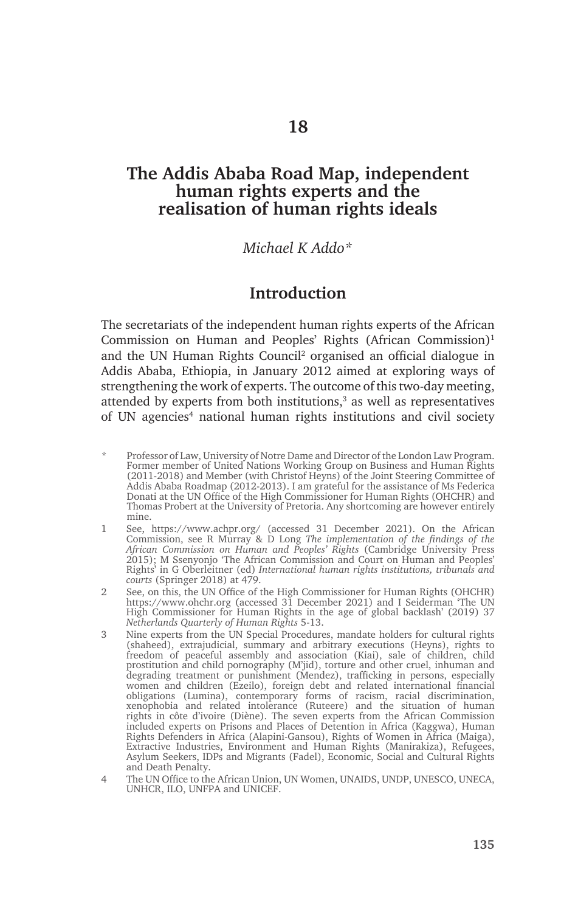# **The Addis Ababa Road Map, independent human rights experts and the realisation of human rights ideals**

### *Michael K Addo\**

# **Introduction**

The secretariats of the independent human rights experts of the African Commission on Human and Peoples' Rights (African Commission)<sup>1</sup> and the UN Human Rights Council<sup>2</sup> organised an official dialogue in Addis Ababa, Ethiopia, in January 2012 aimed at exploring ways of strengthening the work of experts. The outcome of this two-day meeting, attended by experts from both institutions,<sup>3</sup> as well as representatives of UN agencies<sup>4</sup> national human rights institutions and civil society

- Professor of Law, University of Notre Dame and Director of the London Law Program. Former member of United Nations Working Group on Business and Human Rights (2011-2018) and Member (with Christof Heyns) of the Joint Steering Committee of Addis Ababa Roadmap (2012-2013). I am grateful for the assistance of Ms Federica Donati at the UN Office of the High Commissioner for Human Rights (OHCHR) and Thomas Probert at the University of Pretoria. Any shortcoming are however entirely mine.
- 1 See, https://www.achpr.org/ (accessed 31 December 2021). On the African Commission, see R Murray & D Long *The implementation of the findings of the African Commission on Human and Peoples' Rights* (Cambridge University Press 2015); M Ssenyonjo 'The African Commission and Court on Human and Peoples' Rights' in G Oberleitner (ed) *International human rights institutions, tribunals and courts* (Springer 2018) at 479.
- 2 See, on this, the UN Office of the High Commissioner for Human Rights (OHCHR) https://www.ohchr.org (accessed 31 December 2021) and I Seiderman 'The UN High Commissioner for Human Rights in the age of global backlash' (2019) 37 *Netherlands Quarterly of Human Rights* 5-13.
- 3 Nine experts from the UN Special Procedures, mandate holders for cultural rights (shaheed), extrajudicial, summary and arbitrary executions (Heyns), rights to freedom of peaceful assembly and association (Kiai), sale of children, child prostitution and child pornography (M'jid), torture and other cruel, inhuman and degrading treatment or punishment (Mendez), trafficking in persons, especially women and children (Ezeilo), foreign debt and related international financial obligations (Lumina), contemporary forms of racism, racial discrimination, xenophobia and related intolerance (Ruteere) and the situation of human rights in côte d'ivoire (Diène). The seven experts from the African Commission included experts on Prisons and Places of Detention in Africa (Kaggwa), Human Rights Defenders in Africa (Alapini-Gansou), Rights of Women in Africa (Maiga), Extractive Industries, Environment and Human Rights (Manirakiza), Refugees, Asylum Seekers, IDPs and Migrants (Fadel), Economic, Social and Cultural Rights and Death Penalty.
- 4 The UN Office to the African Union, UN Women, UNAIDS, UNDP, UNESCO, UNECA, UNHCR, ILO, UNFPA and UNICEF.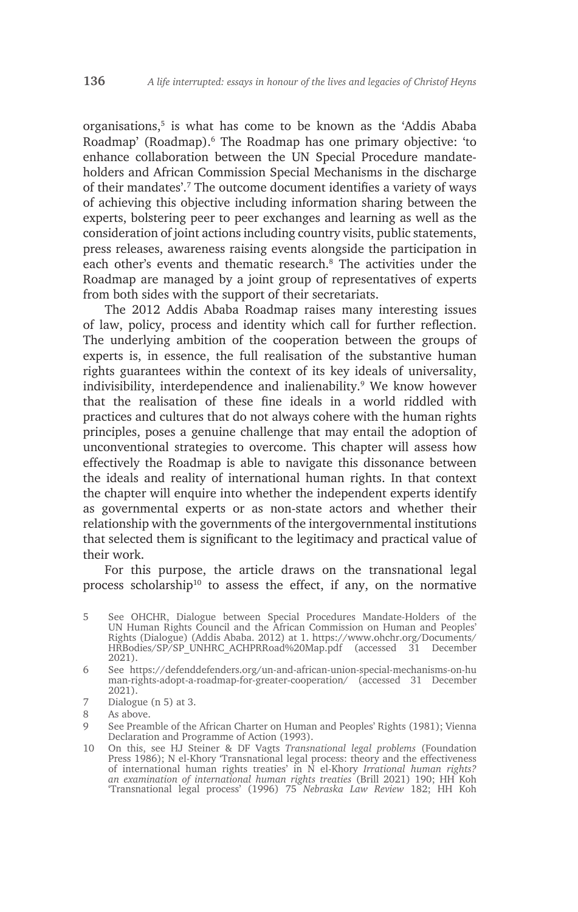organisations,5 is what has come to be known as the 'Addis Ababa Roadmap' (Roadmap).6 The Roadmap has one primary objective: 'to enhance collaboration between the UN Special Procedure mandateholders and African Commission Special Mechanisms in the discharge of their mandates'.7 The outcome document identifies a variety of ways of achieving this objective including information sharing between the experts, bolstering peer to peer exchanges and learning as well as the consideration of joint actions including country visits, public statements, press releases, awareness raising events alongside the participation in each other's events and thematic research.<sup>8</sup> The activities under the Roadmap are managed by a joint group of representatives of experts from both sides with the support of their secretariats.

The 2012 Addis Ababa Roadmap raises many interesting issues of law, policy, process and identity which call for further reflection. The underlying ambition of the cooperation between the groups of experts is, in essence, the full realisation of the substantive human rights guarantees within the context of its key ideals of universality, indivisibility, interdependence and inalienability.<sup>9</sup> We know however that the realisation of these fine ideals in a world riddled with practices and cultures that do not always cohere with the human rights principles, poses a genuine challenge that may entail the adoption of unconventional strategies to overcome. This chapter will assess how effectively the Roadmap is able to navigate this dissonance between the ideals and reality of international human rights. In that context the chapter will enquire into whether the independent experts identify as governmental experts or as non-state actors and whether their relationship with the governments of the intergovernmental institutions that selected them is significant to the legitimacy and practical value of their work.

For this purpose, the article draws on the transnational legal process scholarship<sup>10</sup> to assess the effect, if any, on the normative

6 See https://defenddefenders.org/un-and-african-union-special-mechanisms-on-hu man-rights-adopt-a-roadmap-for-greater-cooperation/ (accessed 31 December 2021).

7 Dialogue (n 5) at 3.

<sup>5</sup> See OHCHR, Dialogue between Special Procedures Mandate-Holders of the UN Human Rights Council and the African Commission on Human and Peoples' Rights (Dialogue) (Addis Ababa. 2012) at 1. https://www.ohchr.org/Documents/ HRBodies/SP/SP\_UNHRC\_ACHPRRoad%20Map.pdf (accessed 31 December 2021).

<sup>8</sup> As above.

<sup>9</sup> See Preamble of the African Charter on Human and Peoples' Rights (1981); Vienna Declaration and Programme of Action (1993).

<sup>10</sup> On this, see HJ Steiner & DF Vagts *Transnational legal problems* (Foundation Press 1986); N el-Khory 'Transnational legal process: theory and the effectiveness of international human rights treaties' in N el-Khory *Irrational human rights? an examination of international human rights treaties* (Brill 2021) 190; HH Koh 'Transnational legal process' (1996) 75 *Nebraska Law Review* 182; HH Koh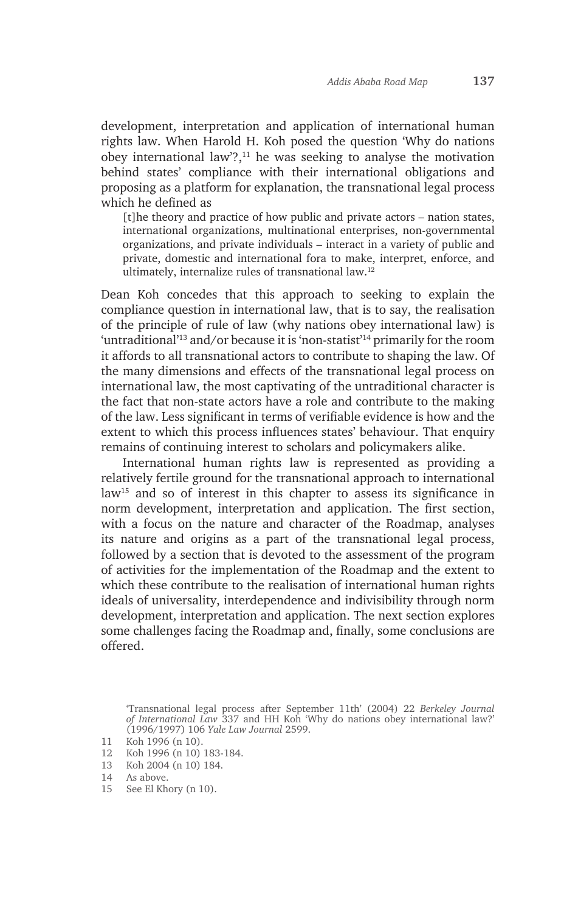development, interpretation and application of international human rights law. When Harold H. Koh posed the question 'Why do nations obey international law'?,11 he was seeking to analyse the motivation behind states' compliance with their international obligations and proposing as a platform for explanation, the transnational legal process which he defined as

[t]he theory and practice of how public and private actors – nation states, international organizations, multinational enterprises, non-governmental organizations, and private individuals – interact in a variety of public and private, domestic and international fora to make, interpret, enforce, and ultimately, internalize rules of transnational law.12

Dean Koh concedes that this approach to seeking to explain the compliance question in international law, that is to say, the realisation of the principle of rule of law (why nations obey international law) is 'untraditional'13 and/or because it is 'non-statist'14 primarily for the room it affords to all transnational actors to contribute to shaping the law. Of the many dimensions and effects of the transnational legal process on international law, the most captivating of the untraditional character is the fact that non-state actors have a role and contribute to the making of the law. Less significant in terms of verifiable evidence is how and the extent to which this process influences states' behaviour. That enquiry remains of continuing interest to scholars and policymakers alike.

International human rights law is represented as providing a relatively fertile ground for the transnational approach to international law15 and so of interest in this chapter to assess its significance in norm development, interpretation and application. The first section, with a focus on the nature and character of the Roadmap, analyses its nature and origins as a part of the transnational legal process, followed by a section that is devoted to the assessment of the program of activities for the implementation of the Roadmap and the extent to which these contribute to the realisation of international human rights ideals of universality, interdependence and indivisibility through norm development, interpretation and application. The next section explores some challenges facing the Roadmap and, finally, some conclusions are offered.

13 Koh 2004 (n 10) 184.

15 See El Khory (n 10).

<sup>&#</sup>x27;Transnational legal process after September 11th' (2004) 22 *Berkeley Journal of International Law* 337 and HH Koh 'Why do nations obey international law?' (1996/1997) 106 *Yale Law Journal* 2599.

<sup>11</sup> Koh 1996 (n 10).

<sup>12</sup> Koh 1996 (n 10) 183-184.

<sup>14</sup> As above.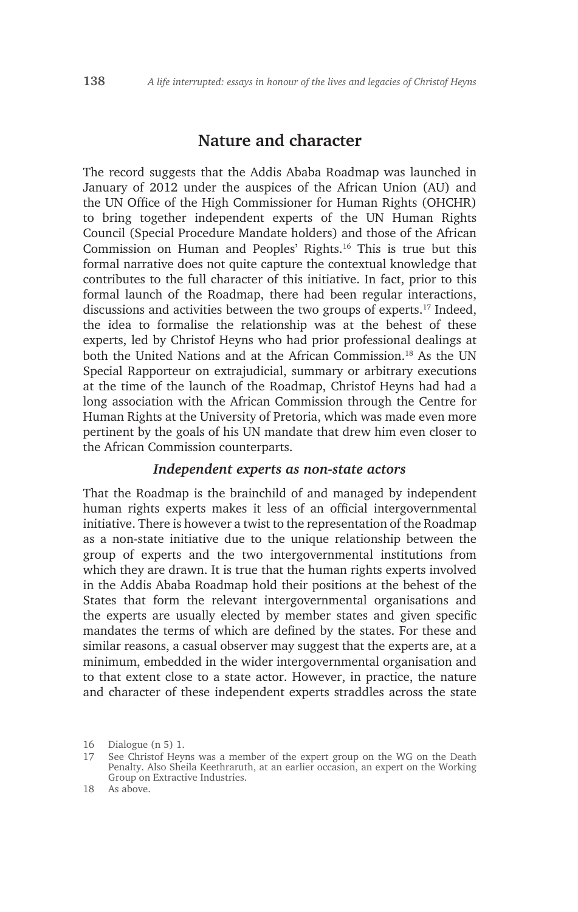# **Nature and character**

The record suggests that the Addis Ababa Roadmap was launched in January of 2012 under the auspices of the African Union (AU) and the UN Office of the High Commissioner for Human Rights (OHCHR) to bring together independent experts of the UN Human Rights Council (Special Procedure Mandate holders) and those of the African Commission on Human and Peoples' Rights.16 This is true but this formal narrative does not quite capture the contextual knowledge that contributes to the full character of this initiative. In fact, prior to this formal launch of the Roadmap, there had been regular interactions, discussions and activities between the two groups of experts.<sup>17</sup> Indeed, the idea to formalise the relationship was at the behest of these experts, led by Christof Heyns who had prior professional dealings at both the United Nations and at the African Commission.<sup>18</sup> As the UN Special Rapporteur on extrajudicial, summary or arbitrary executions at the time of the launch of the Roadmap, Christof Heyns had had a long association with the African Commission through the Centre for Human Rights at the University of Pretoria, which was made even more pertinent by the goals of his UN mandate that drew him even closer to the African Commission counterparts.

#### *Independent experts as non-state actors*

That the Roadmap is the brainchild of and managed by independent human rights experts makes it less of an official intergovernmental initiative. There is however a twist to the representation of the Roadmap as a non-state initiative due to the unique relationship between the group of experts and the two intergovernmental institutions from which they are drawn. It is true that the human rights experts involved in the Addis Ababa Roadmap hold their positions at the behest of the States that form the relevant intergovernmental organisations and the experts are usually elected by member states and given specific mandates the terms of which are defined by the states. For these and similar reasons, a casual observer may suggest that the experts are, at a minimum, embedded in the wider intergovernmental organisation and to that extent close to a state actor. However, in practice, the nature and character of these independent experts straddles across the state

<sup>16</sup> Dialogue (n 5) 1.

<sup>17</sup> See Christof Heyns was a member of the expert group on the WG on the Death Penalty. Also Sheila Keethraruth, at an earlier occasion, an expert on the Working Group on Extractive Industries.

<sup>18</sup> As above.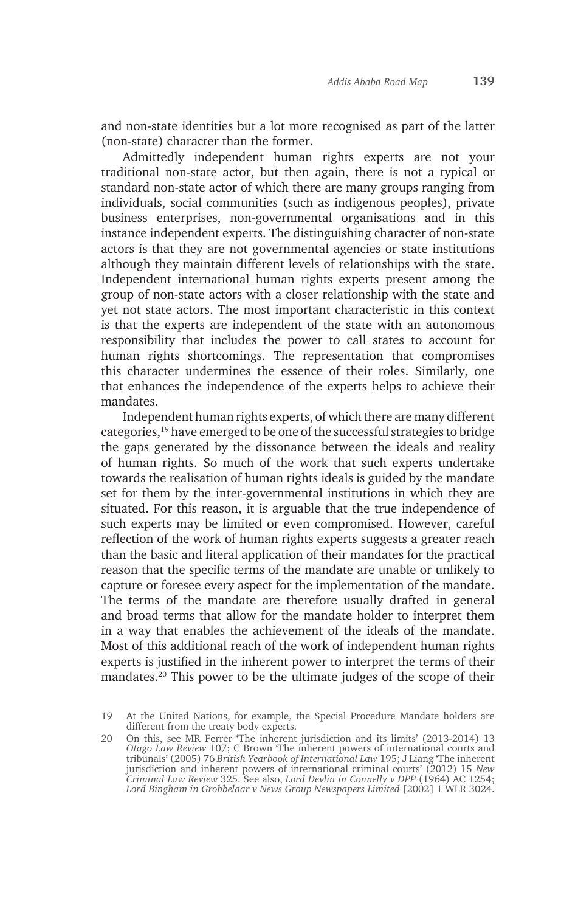and non-state identities but a lot more recognised as part of the latter (non-state) character than the former.

Admittedly independent human rights experts are not your traditional non-state actor, but then again, there is not a typical or standard non-state actor of which there are many groups ranging from individuals, social communities (such as indigenous peoples), private business enterprises, non-governmental organisations and in this instance independent experts. The distinguishing character of non-state actors is that they are not governmental agencies or state institutions although they maintain different levels of relationships with the state. Independent international human rights experts present among the group of non-state actors with a closer relationship with the state and yet not state actors. The most important characteristic in this context is that the experts are independent of the state with an autonomous responsibility that includes the power to call states to account for human rights shortcomings. The representation that compromises this character undermines the essence of their roles. Similarly, one that enhances the independence of the experts helps to achieve their mandates.

Independent human rights experts, of which there are many different categories,19 have emerged to be one of the successful strategies to bridge the gaps generated by the dissonance between the ideals and reality of human rights. So much of the work that such experts undertake towards the realisation of human rights ideals is guided by the mandate set for them by the inter-governmental institutions in which they are situated. For this reason, it is arguable that the true independence of such experts may be limited or even compromised. However, careful reflection of the work of human rights experts suggests a greater reach than the basic and literal application of their mandates for the practical reason that the specific terms of the mandate are unable or unlikely to capture or foresee every aspect for the implementation of the mandate. The terms of the mandate are therefore usually drafted in general and broad terms that allow for the mandate holder to interpret them in a way that enables the achievement of the ideals of the mandate. Most of this additional reach of the work of independent human rights experts is justified in the inherent power to interpret the terms of their mandates.20 This power to be the ultimate judges of the scope of their

<sup>19</sup> At the United Nations, for example, the Special Procedure Mandate holders are different from the treaty body experts.

<sup>20</sup> On this, see MR Ferrer 'The inherent jurisdiction and its limits' (2013-2014) 13 *Otago Law Review* 107; C Brown 'The inherent powers of international courts and tribunals' (2005) 76 *British Yearbook of International Law* 195; J Liang 'The inherent jurisdiction and inherent powers of international criminal courts' (2012) 15 *New Criminal Law Review* 325. See also, *Lord Devlin in Connelly v DPP* (1964) AC 1254; Lord Bingham in Grobbelaar v News Group Newspapers Limited <sup>[2002]</sup> 1 WLR 3024.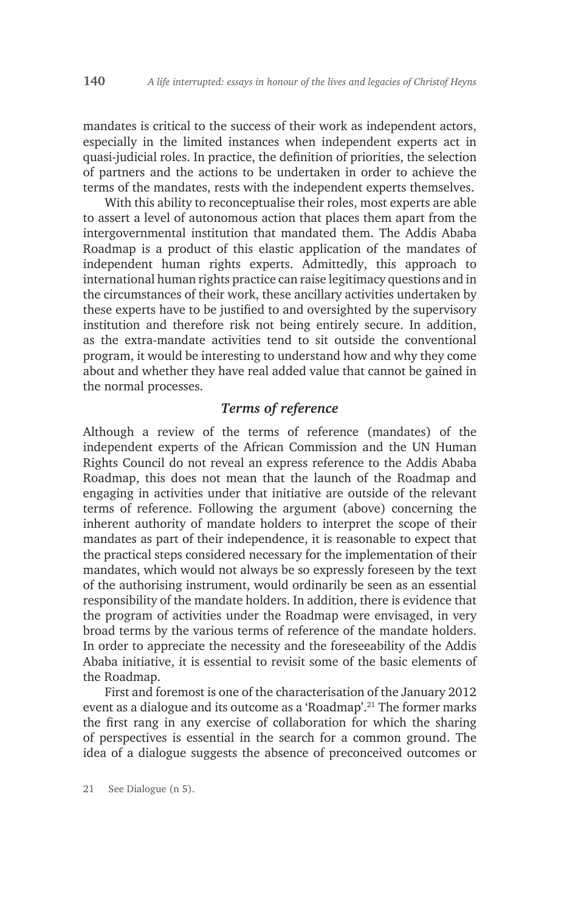mandates is critical to the success of their work as independent actors, especially in the limited instances when independent experts act in quasi-judicial roles. In practice, the definition of priorities, the selection of partners and the actions to be undertaken in order to achieve the terms of the mandates, rests with the independent experts themselves.

With this ability to reconceptualise their roles, most experts are able to assert a level of autonomous action that places them apart from the intergovernmental institution that mandated them. The Addis Ababa Roadmap is a product of this elastic application of the mandates of independent human rights experts. Admittedly, this approach to international human rights practice can raise legitimacy questions and in the circumstances of their work, these ancillary activities undertaken by these experts have to be justified to and oversighted by the supervisory institution and therefore risk not being entirely secure. In addition, as the extra-mandate activities tend to sit outside the conventional program, it would be interesting to understand how and why they come about and whether they have real added value that cannot be gained in the normal processes.

### *Terms of reference*

Although a review of the terms of reference (mandates) of the independent experts of the African Commission and the UN Human Rights Council do not reveal an express reference to the Addis Ababa Roadmap, this does not mean that the launch of the Roadmap and engaging in activities under that initiative are outside of the relevant terms of reference. Following the argument (above) concerning the inherent authority of mandate holders to interpret the scope of their mandates as part of their independence, it is reasonable to expect that the practical steps considered necessary for the implementation of their mandates, which would not always be so expressly foreseen by the text of the authorising instrument, would ordinarily be seen as an essential responsibility of the mandate holders. In addition, there is evidence that the program of activities under the Roadmap were envisaged, in very broad terms by the various terms of reference of the mandate holders. In order to appreciate the necessity and the foreseeability of the Addis Ababa initiative, it is essential to revisit some of the basic elements of the Roadmap.

First and foremost is one of the characterisation of the January 2012 event as a dialogue and its outcome as a 'Roadmap'.<sup>21</sup> The former marks the first rang in any exercise of collaboration for which the sharing of perspectives is essential in the search for a common ground. The idea of a dialogue suggests the absence of preconceived outcomes or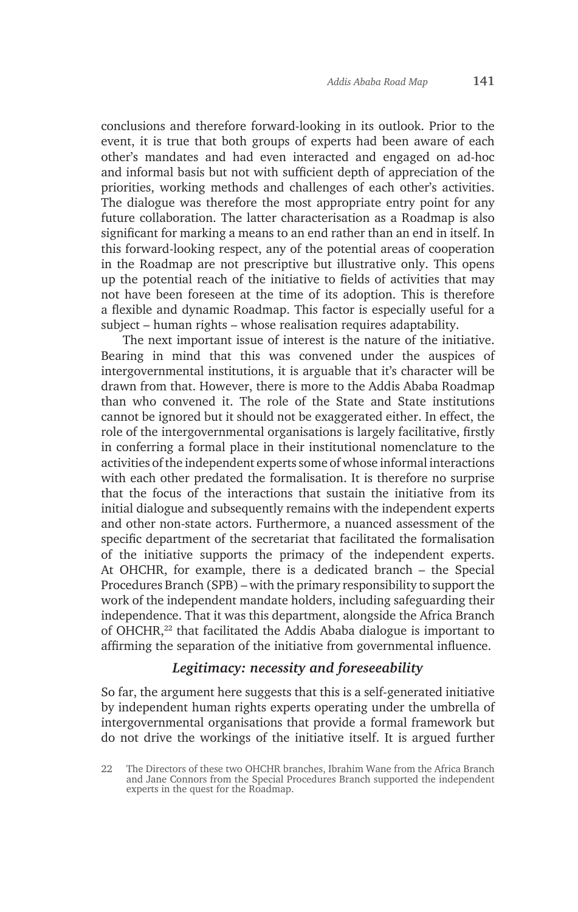conclusions and therefore forward-looking in its outlook. Prior to the event, it is true that both groups of experts had been aware of each other's mandates and had even interacted and engaged on ad-hoc and informal basis but not with sufficient depth of appreciation of the priorities, working methods and challenges of each other's activities. The dialogue was therefore the most appropriate entry point for any future collaboration. The latter characterisation as a Roadmap is also significant for marking a means to an end rather than an end in itself. In this forward-looking respect, any of the potential areas of cooperation in the Roadmap are not prescriptive but illustrative only. This opens up the potential reach of the initiative to fields of activities that may not have been foreseen at the time of its adoption. This is therefore a flexible and dynamic Roadmap. This factor is especially useful for a subject – human rights – whose realisation requires adaptability.

The next important issue of interest is the nature of the initiative. Bearing in mind that this was convened under the auspices of intergovernmental institutions, it is arguable that it's character will be drawn from that. However, there is more to the Addis Ababa Roadmap than who convened it. The role of the State and State institutions cannot be ignored but it should not be exaggerated either. In effect, the role of the intergovernmental organisations is largely facilitative, firstly in conferring a formal place in their institutional nomenclature to the activities of the independent experts some of whose informal interactions with each other predated the formalisation. It is therefore no surprise that the focus of the interactions that sustain the initiative from its initial dialogue and subsequently remains with the independent experts and other non-state actors. Furthermore, a nuanced assessment of the specific department of the secretariat that facilitated the formalisation of the initiative supports the primacy of the independent experts. At OHCHR, for example, there is a dedicated branch – the Special Procedures Branch (SPB) – with the primary responsibility to support the work of the independent mandate holders, including safeguarding their independence. That it was this department, alongside the Africa Branch of OHCHR,22 that facilitated the Addis Ababa dialogue is important to affirming the separation of the initiative from governmental influence.

## *Legitimacy: necessity and foreseeability*

So far, the argument here suggests that this is a self-generated initiative by independent human rights experts operating under the umbrella of intergovernmental organisations that provide a formal framework but do not drive the workings of the initiative itself. It is argued further

<sup>22</sup> The Directors of these two OHCHR branches, Ibrahim Wane from the Africa Branch and Jane Connors from the Special Procedures Branch supported the independent experts in the quest for the Roadmap.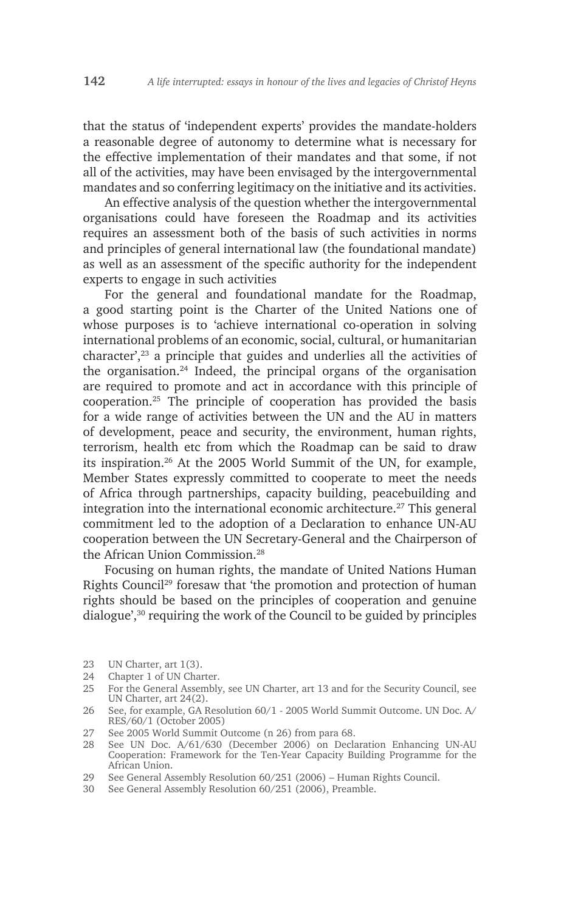that the status of 'independent experts' provides the mandate-holders a reasonable degree of autonomy to determine what is necessary for the effective implementation of their mandates and that some, if not all of the activities, may have been envisaged by the intergovernmental mandates and so conferring legitimacy on the initiative and its activities.

An effective analysis of the question whether the intergovernmental organisations could have foreseen the Roadmap and its activities requires an assessment both of the basis of such activities in norms and principles of general international law (the foundational mandate) as well as an assessment of the specific authority for the independent experts to engage in such activities

For the general and foundational mandate for the Roadmap, a good starting point is the Charter of the United Nations one of whose purposes is to 'achieve international co-operation in solving international problems of an economic, social, cultural, or humanitarian  $\alpha$  character',<sup>23</sup> a principle that guides and underlies all the activities of the organisation.24 Indeed, the principal organs of the organisation are required to promote and act in accordance with this principle of cooperation.25 The principle of cooperation has provided the basis for a wide range of activities between the UN and the AU in matters of development, peace and security, the environment, human rights, terrorism, health etc from which the Roadmap can be said to draw its inspiration.26 At the 2005 World Summit of the UN, for example, Member States expressly committed to cooperate to meet the needs of Africa through partnerships, capacity building, peacebuilding and integration into the international economic architecture.27 This general commitment led to the adoption of a Declaration to enhance UN-AU cooperation between the UN Secretary-General and the Chairperson of the African Union Commission.<sup>28</sup>

Focusing on human rights, the mandate of United Nations Human Rights Council<sup>29</sup> foresaw that 'the promotion and protection of human rights should be based on the principles of cooperation and genuine dialogue',30 requiring the work of the Council to be guided by principles

27 See 2005 World Summit Outcome (n 26) from para 68.

<sup>23</sup> UN Charter, art 1(3).

<sup>24</sup> Chapter 1 of UN Charter.

<sup>25</sup> For the General Assembly, see UN Charter, art 13 and for the Security Council, see UN Charter, art 24(2).

<sup>26</sup> See, for example, GA Resolution 60/1 - 2005 World Summit Outcome. UN Doc. A/ RES/60/1 (October 2005)

<sup>28</sup> See UN Doc. A/61/630 (December 2006) on Declaration Enhancing UN-AU Cooperation: Framework for the Ten-Year Capacity Building Programme for the African Union.

<sup>29</sup> See General Assembly Resolution 60/251 (2006) – Human Rights Council.

<sup>30</sup> See General Assembly Resolution 60/251 (2006), Preamble.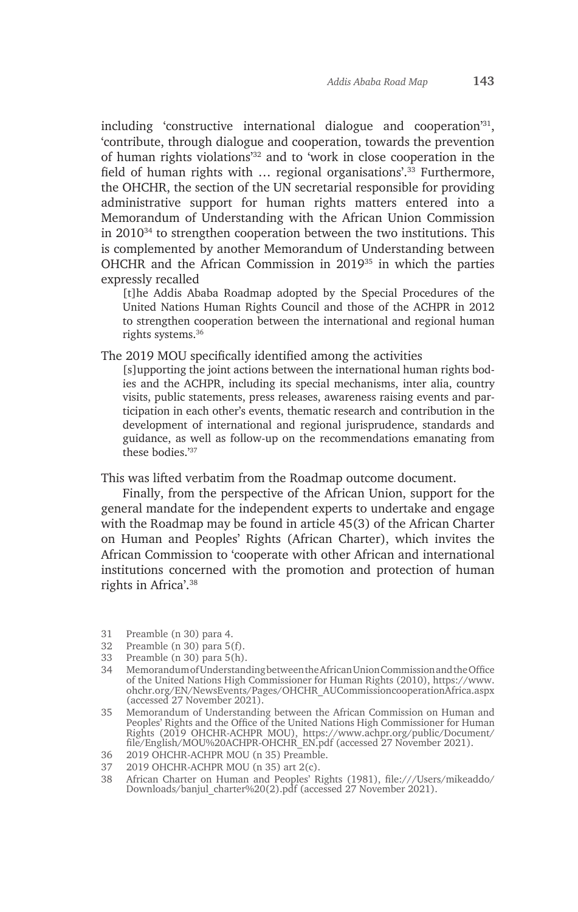including 'constructive international dialogue and cooperation'31, 'contribute, through dialogue and cooperation, towards the prevention of human rights violations'32 and to 'work in close cooperation in the field of human rights with … regional organisations'.33 Furthermore, the OHCHR, the section of the UN secretarial responsible for providing administrative support for human rights matters entered into a Memorandum of Understanding with the African Union Commission in 201034 to strengthen cooperation between the two institutions. This is complemented by another Memorandum of Understanding between OHCHR and the African Commission in 201935 in which the parties expressly recalled

[t]he Addis Ababa Roadmap adopted by the Special Procedures of the United Nations Human Rights Council and those of the ACHPR in 2012 to strengthen cooperation between the international and regional human rights systems.36

The 2019 MOU specifically identified among the activities

[s]upporting the joint actions between the international human rights bodies and the ACHPR, including its special mechanisms, inter alia, country visits, public statements, press releases, awareness raising events and participation in each other's events, thematic research and contribution in the development of international and regional jurisprudence, standards and guidance, as well as follow-up on the recommendations emanating from these bodies.'37

This was lifted verbatim from the Roadmap outcome document.

Finally, from the perspective of the African Union, support for the general mandate for the independent experts to undertake and engage with the Roadmap may be found in article 45(3) of the African Charter on Human and Peoples' Rights (African Charter), which invites the African Commission to 'cooperate with other African and international institutions concerned with the promotion and protection of human rights in Africa'.38

- 31 Preamble (n 30) para 4.
- 32 Preamble (n 30) para 5(f).
- 33 Preamble (n 30) para 5(h).
- 34 Memorandum of Understanding between the African Union Commission and the Office of the United Nations High Commissioner for Human Rights (2010), https://www. ohchr.org/EN/NewsEvents/Pages/OHCHR\_AUCommissioncooperationAfrica.aspx (accessed 27 November 2021).

<sup>35</sup> Memorandum of Understanding between the African Commission on Human and Peoples' Rights and the Office of the United Nations High Commissioner for Human Rights (2019 OHCHR-ACHPR MOU), https://www.achpr.org/public/Document/ file/English/MOU%20ACHPR-OHCHR\_EN.pdf (accessed 27 November 2021).

<sup>36</sup> 2019 OHCHR-ACHPR MOU (n 35) Preamble.

<sup>37</sup> 2019 OHCHR-ACHPR MOU (n 35) art 2(c).

<sup>38</sup> African Charter on Human and Peoples' Rights (1981), file:///Users/mikeaddo/ Downloads/banjul\_charter%20(2).pdf (accessed 27 November 2021).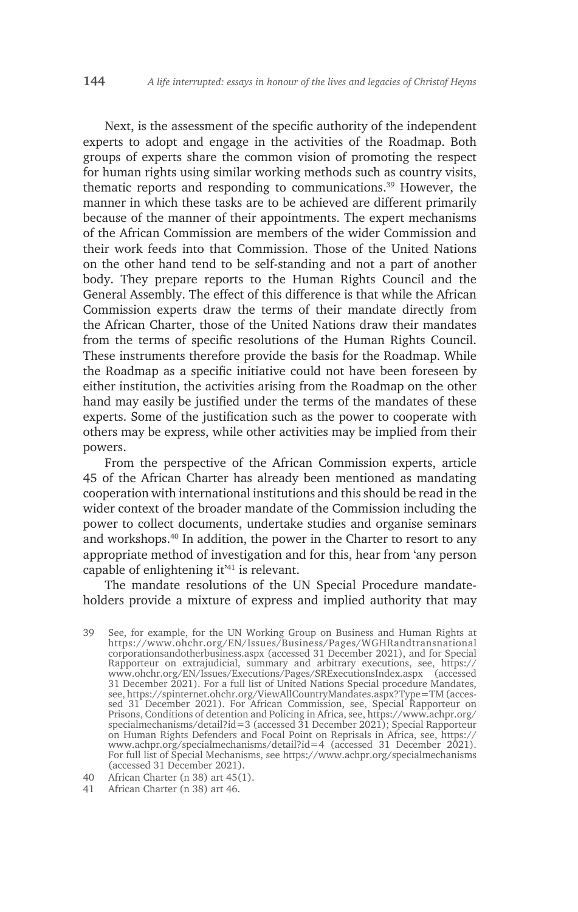Next, is the assessment of the specific authority of the independent experts to adopt and engage in the activities of the Roadmap. Both groups of experts share the common vision of promoting the respect for human rights using similar working methods such as country visits, thematic reports and responding to communications.39 However, the manner in which these tasks are to be achieved are different primarily because of the manner of their appointments. The expert mechanisms of the African Commission are members of the wider Commission and their work feeds into that Commission. Those of the United Nations on the other hand tend to be self-standing and not a part of another body. They prepare reports to the Human Rights Council and the General Assembly. The effect of this difference is that while the African Commission experts draw the terms of their mandate directly from the African Charter, those of the United Nations draw their mandates from the terms of specific resolutions of the Human Rights Council. These instruments therefore provide the basis for the Roadmap. While the Roadmap as a specific initiative could not have been foreseen by either institution, the activities arising from the Roadmap on the other hand may easily be justified under the terms of the mandates of these experts. Some of the justification such as the power to cooperate with others may be express, while other activities may be implied from their powers.

From the perspective of the African Commission experts, article 45 of the African Charter has already been mentioned as mandating cooperation with international institutions and this should be read in the wider context of the broader mandate of the Commission including the power to collect documents, undertake studies and organise seminars and workshops.40 In addition, the power in the Charter to resort to any appropriate method of investigation and for this, hear from 'any person capable of enlightening it'41 is relevant.

The mandate resolutions of the UN Special Procedure mandateholders provide a mixture of express and implied authority that may

<sup>39</sup> See, for example, for the UN Working Group on Business and Human Rights at https://www.ohchr.org/EN/Issues/Business/Pages/WGHRandtransnational corporationsandotherbusiness.aspx (accessed 31 December 2021), and for Special Rapporteur on extrajudicial, summary and arbitrary executions, see, https:// www.ohchr.org/EN/Issues/Executions/Pages/SRExecutionsIndex.aspx (accessed 31 December 2021). For a full list of United Nations Special procedure Mandates, see, https://spinternet.ohchr.org/ViewAllCountryMandates.aspx?Type=TM (accessed 31 December 2021). For African Commission, see, Special Rapporteur on Prisons, Conditions of detention and Policing in Africa, see, https://www.achpr.org/ specialmechanisms/detail?id=3 (accessed 31 December 2021); Special Rapporteur on Human Rights Defenders and Focal Point on Reprisals in Africa, see, https:// www.achpr.org/specialmechanisms/detail?id=4 (accessed 31 December 2021). For full list of Special Mechanisms, see https://www.achpr.org/specialmechanisms (accessed 31 December 2021).

<sup>40</sup> African Charter (n 38) art 45(1).

<sup>41</sup> African Charter (n 38) art 46.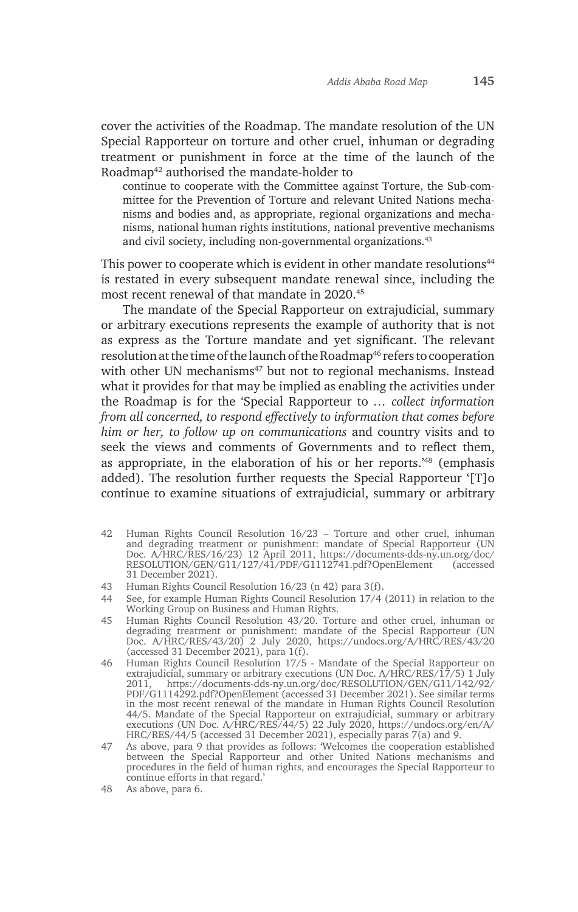cover the activities of the Roadmap. The mandate resolution of the UN Special Rapporteur on torture and other cruel, inhuman or degrading treatment or punishment in force at the time of the launch of the Roadmap42 authorised the mandate-holder to

continue to cooperate with the Committee against Torture, the Sub-committee for the Prevention of Torture and relevant United Nations mechanisms and bodies and, as appropriate, regional organizations and mechanisms, national human rights institutions, national preventive mechanisms and civil society, including non-governmental organizations.<sup>43</sup>

This power to cooperate which is evident in other mandate resolutions<sup>44</sup> is restated in every subsequent mandate renewal since, including the most recent renewal of that mandate in 2020.45

The mandate of the Special Rapporteur on extrajudicial, summary or arbitrary executions represents the example of authority that is not as express as the Torture mandate and yet significant. The relevant resolution at the time of the launch of the Roadmap<sup>46</sup> refers to cooperation with other UN mechanisms<sup>47</sup> but not to regional mechanisms. Instead what it provides for that may be implied as enabling the activities under the Roadmap is for the 'Special Rapporteur to *… collect information from all concerned, to respond effectively to information that comes before him or her, to follow up on communications* and country visits and to seek the views and comments of Governments and to reflect them, as appropriate, in the elaboration of his or her reports.'48 (emphasis added). The resolution further requests the Special Rapporteur '[T]o continue to examine situations of extrajudicial, summary or arbitrary

- 42 Human Rights Council Resolution 16/23 Torture and other cruel, inhuman and degrading treatment or punishment: mandate of Special Rapporteur (UN Doc. A/HRC/RES/16/23) 12 April 2011, https://documents-dds-ny.un.org/doc/ RESOLUTION/GEN/G11/127/41/PDF/G1112741.pdf?OpenElement (accessed 31 December 2021).
- 43 Human Rights Council Resolution 16/23 (n 42) para 3(f).
- 44 See, for example Human Rights Council Resolution 17/4 (2011) in relation to the Working Group on Business and Human Rights.
- 45 Human Rights Council Resolution 43/20. Torture and other cruel, inhuman or degrading treatment or punishment: mandate of the Special Rapporteur (UN Doc. A/HRC/RES/43/20) 2 July 2020, https://undocs.org/A/HRC/RES/43/20 (accessed 31 December 2021), para 1(f).
- 46 Human Rights Council Resolution 17/5 Mandate of the Special Rapporteur on extrajudicial, summary or arbitrary executions (UN Doc. A/HRC/RES/17/5) 1 July<br>2011 https://documents-dds-ny.un.org/doc/RESOLUTION/GEN/G11/142/92/ 2011, https://documents-dds-ny.un.org/doc/RESOLUTION/GEN/G11/142/92/ PDF/G1114292.pdf?OpenElement (accessed 31 December 2021). See similar terms in the most recent renewal of the mandate in Human Rights Council Resolution 44/5. Mandate of the Special Rapporteur on extrajudicial, summary or arbitrary executions (UN Doc. A/HRC/RES/44/5) 22 July 2020, https://undocs.org/en/A/ HRC/RES/44/5 (accessed 31 December 2021), especially paras 7(a) and 9.
- 47 As above, para 9 that provides as follows: 'Welcomes the cooperation established between the Special Rapporteur and other United Nations mechanisms and procedures in the field of human rights, and encourages the Special Rapporteur to continue efforts in that regard.'
- 48 As above, para 6.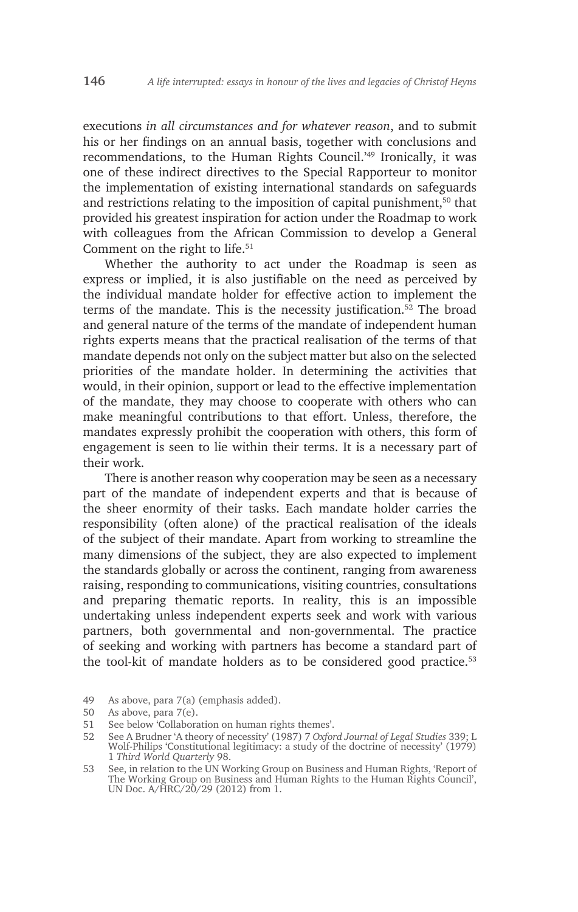executions *in all circumstances and for whatever reason*, and to submit his or her findings on an annual basis, together with conclusions and recommendations, to the Human Rights Council.'49 Ironically, it was one of these indirect directives to the Special Rapporteur to monitor the implementation of existing international standards on safeguards and restrictions relating to the imposition of capital punishment,<sup>50</sup> that provided his greatest inspiration for action under the Roadmap to work with colleagues from the African Commission to develop a General Comment on the right to life.<sup>51</sup>

Whether the authority to act under the Roadmap is seen as express or implied, it is also justifiable on the need as perceived by the individual mandate holder for effective action to implement the terms of the mandate. This is the necessity justification.<sup>52</sup> The broad and general nature of the terms of the mandate of independent human rights experts means that the practical realisation of the terms of that mandate depends not only on the subject matter but also on the selected priorities of the mandate holder. In determining the activities that would, in their opinion, support or lead to the effective implementation of the mandate, they may choose to cooperate with others who can make meaningful contributions to that effort. Unless, therefore, the mandates expressly prohibit the cooperation with others, this form of engagement is seen to lie within their terms. It is a necessary part of their work.

There is another reason why cooperation may be seen as a necessary part of the mandate of independent experts and that is because of the sheer enormity of their tasks. Each mandate holder carries the responsibility (often alone) of the practical realisation of the ideals of the subject of their mandate. Apart from working to streamline the many dimensions of the subject, they are also expected to implement the standards globally or across the continent, ranging from awareness raising, responding to communications, visiting countries, consultations and preparing thematic reports. In reality, this is an impossible undertaking unless independent experts seek and work with various partners, both governmental and non-governmental. The practice of seeking and working with partners has become a standard part of the tool-kit of mandate holders as to be considered good practice.<sup>53</sup>

<sup>49</sup> As above, para 7(a) (emphasis added).

<sup>50</sup> As above, para 7(e).

<sup>51</sup> See below 'Collaboration on human rights themes'.

<sup>52</sup> See A Brudner 'A theory of necessity' (1987) 7 *Oxford Journal of Legal Studies* 339; L Wolf-Philips 'Constitutional legitimacy: a study of the doctrine of necessity' (1979) 1 *Third World Quarterly* 98.

<sup>53</sup> See, in relation to the UN Working Group on Business and Human Rights, 'Report of The Working Group on Business and Human Rights to the Human Rights Council', UN Doc. A/HRC/20/29 (2012) from 1.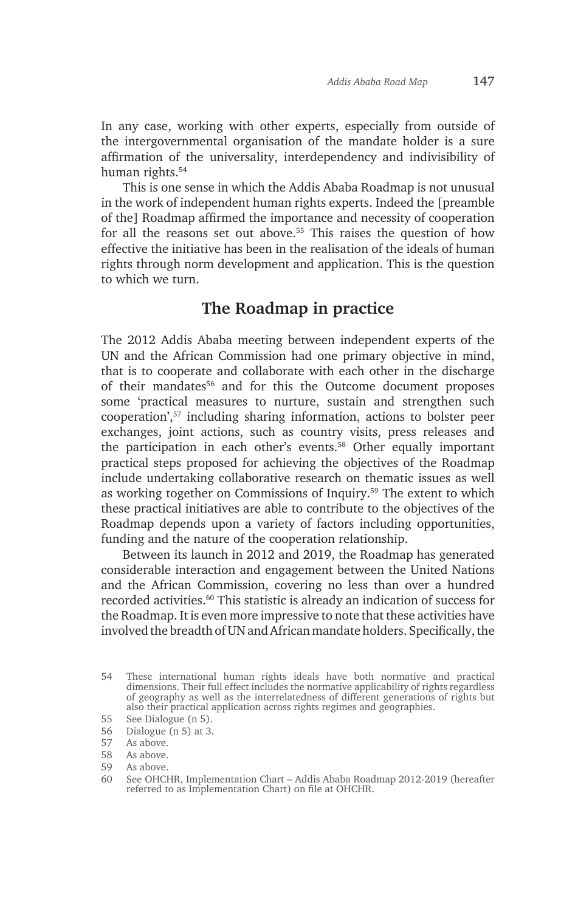In any case, working with other experts, especially from outside of the intergovernmental organisation of the mandate holder is a sure affirmation of the universality, interdependency and indivisibility of human rights.54

This is one sense in which the Addis Ababa Roadmap is not unusual in the work of independent human rights experts. Indeed the [preamble of the] Roadmap affirmed the importance and necessity of cooperation for all the reasons set out above.55 This raises the question of how effective the initiative has been in the realisation of the ideals of human rights through norm development and application. This is the question to which we turn.

# **The Roadmap in practice**

The 2012 Addis Ababa meeting between independent experts of the UN and the African Commission had one primary objective in mind, that is to cooperate and collaborate with each other in the discharge of their mandates<sup>56</sup> and for this the Outcome document proposes some 'practical measures to nurture, sustain and strengthen such cooperation',57 including sharing information, actions to bolster peer exchanges, joint actions, such as country visits, press releases and the participation in each other's events.58 Other equally important practical steps proposed for achieving the objectives of the Roadmap include undertaking collaborative research on thematic issues as well as working together on Commissions of Inquiry.59 The extent to which these practical initiatives are able to contribute to the objectives of the Roadmap depends upon a variety of factors including opportunities, funding and the nature of the cooperation relationship.

Between its launch in 2012 and 2019, the Roadmap has generated considerable interaction and engagement between the United Nations and the African Commission, covering no less than over a hundred recorded activities.<sup>60</sup> This statistic is already an indication of success for the Roadmap. It is even more impressive to note that these activities have involved the breadth of UN and African mandate holders. Specifically, the

56 Dialogue (n 5) at 3.

<sup>54</sup> These international human rights ideals have both normative and practical dimensions. Their full effect includes the normative applicability of rights regardless of geography as well as the interrelatedness of different generations of rights but also their practical application across rights regimes and geographies.

<sup>55</sup> See Dialogue (n 5).

<sup>57</sup> As above.

<sup>58</sup> As above.

<sup>59</sup> As above.

<sup>60</sup> See OHCHR, Implementation Chart – Addis Ababa Roadmap 2012-2019 (hereafter referred to as Implementation Chart) on file at OHCHR.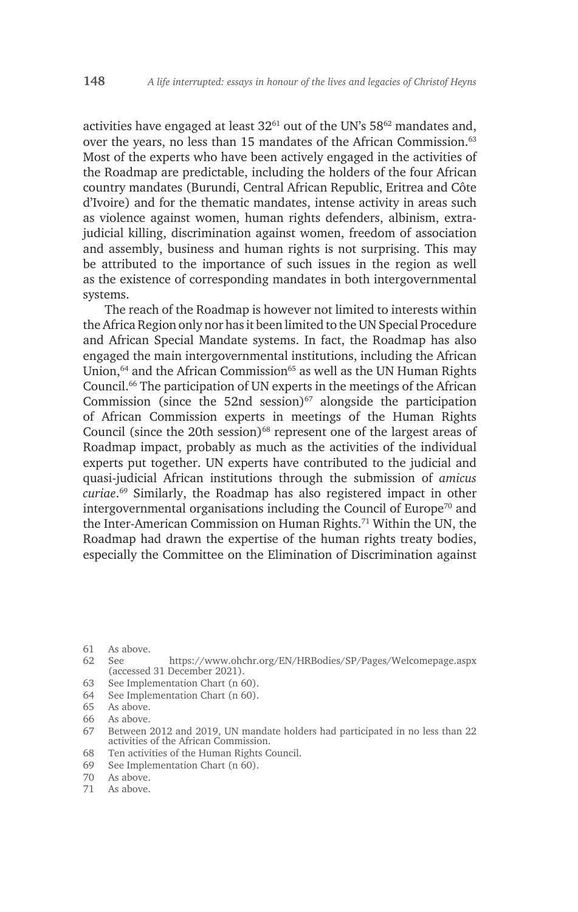activities have engaged at least  $32^{61}$  out of the UN's  $58^{62}$  mandates and, over the years, no less than 15 mandates of the African Commission.<sup>63</sup> Most of the experts who have been actively engaged in the activities of the Roadmap are predictable, including the holders of the four African country mandates (Burundi, Central African Republic, Eritrea and Côte d'Ivoire) and for the thematic mandates, intense activity in areas such as violence against women, human rights defenders, albinism, extrajudicial killing, discrimination against women, freedom of association and assembly, business and human rights is not surprising. This may be attributed to the importance of such issues in the region as well as the existence of corresponding mandates in both intergovernmental systems.

The reach of the Roadmap is however not limited to interests within the Africa Region only nor has it been limited to the UN Special Procedure and African Special Mandate systems. In fact, the Roadmap has also engaged the main intergovernmental institutions, including the African Union, $64$  and the African Commission $65$  as well as the UN Human Rights Council.66 The participation of UN experts in the meetings of the African Commission (since the 52nd session) $67$  alongside the participation of African Commission experts in meetings of the Human Rights Council (since the 20th session) $68$  represent one of the largest areas of Roadmap impact, probably as much as the activities of the individual experts put together. UN experts have contributed to the judicial and quasi-judicial African institutions through the submission of *amicus curiae*. 69 Similarly, the Roadmap has also registered impact in other intergovernmental organisations including the Council of Europe<sup> $70$ </sup> and the Inter-American Commission on Human Rights.<sup>71</sup> Within the UN, the Roadmap had drawn the expertise of the human rights treaty bodies, especially the Committee on the Elimination of Discrimination against

- 62 See https://www.ohchr.org/EN/HRBodies/SP/Pages/Welcomepage.aspx (accessed 31 December 2021).
- 63 See Implementation Chart (n 60).
- 64 See Implementation Chart (n 60).
- 65 As above.
- 66 As above.
- 67 Between 2012 and 2019, UN mandate holders had participated in no less than 22 activities of the African Commission.
- 68 Ten activities of the Human Rights Council.
- 69 See Implementation Chart (n 60).
- 70 As above.
- 71 As above.

<sup>61</sup> As above.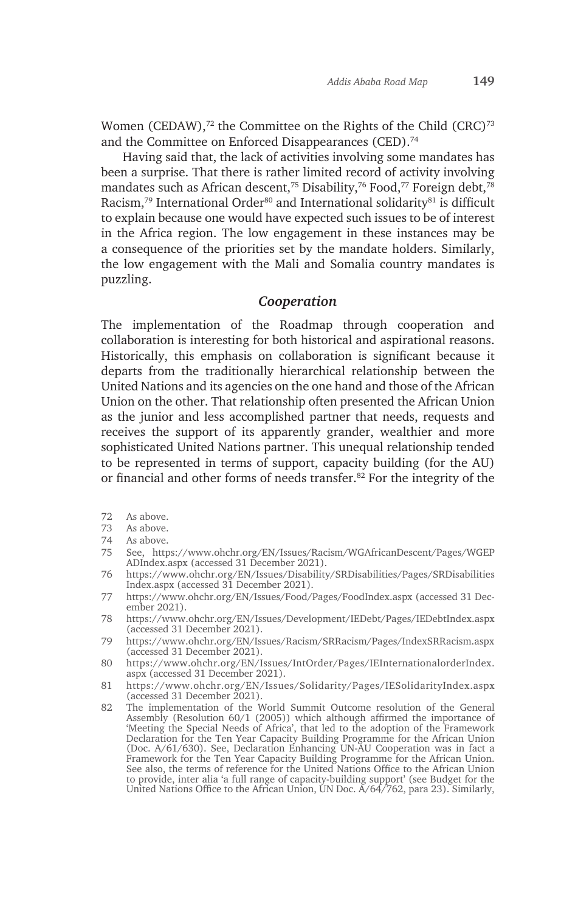Women (CEDAW),<sup>72</sup> the Committee on the Rights of the Child (CRC)<sup>73</sup> and the Committee on Enforced Disappearances (CED).74

Having said that, the lack of activities involving some mandates has been a surprise. That there is rather limited record of activity involving mandates such as African descent,<sup>75</sup> Disability,<sup>76</sup> Food,<sup>77</sup> Foreign debt,<sup>78</sup> Racism,<sup>79</sup> International Order<sup>80</sup> and International solidarity<sup>81</sup> is difficult to explain because one would have expected such issues to be of interest in the Africa region. The low engagement in these instances may be a consequence of the priorities set by the mandate holders. Similarly, the low engagement with the Mali and Somalia country mandates is puzzling.

#### *Cooperation*

The implementation of the Roadmap through cooperation and collaboration is interesting for both historical and aspirational reasons. Historically, this emphasis on collaboration is significant because it departs from the traditionally hierarchical relationship between the United Nations and its agencies on the one hand and those of the African Union on the other. That relationship often presented the African Union as the junior and less accomplished partner that needs, requests and receives the support of its apparently grander, wealthier and more sophisticated United Nations partner. This unequal relationship tended to be represented in terms of support, capacity building (for the AU) or financial and other forms of needs transfer.<sup>82</sup> For the integrity of the

- 72 As above.
- 73 As above.
- 74 As above.
- 75 See, https://www.ohchr.org/EN/Issues/Racism/WGAfricanDescent/Pages/WGEP ADIndex.aspx (accessed 31 December 2021).
- 76 https://www.ohchr.org/EN/Issues/Disability/SRDisabilities/Pages/SRDisabilities Index.aspx (accessed 31 December 2021).
- 77 https://www.ohchr.org/EN/Issues/Food/Pages/FoodIndex.aspx (accessed 31 December 2021).
- 78 https://www.ohchr.org/EN/Issues/Development/IEDebt/Pages/IEDebtIndex.aspx (accessed 31 December 2021).
- 79 https://www.ohchr.org/EN/Issues/Racism/SRRacism/Pages/IndexSRRacism.aspx (accessed 31 December 2021).
- 80 https://www.ohchr.org/EN/Issues/IntOrder/Pages/IEInternationalorderIndex. aspx (accessed 31 December 2021).
- 81 https://www.ohchr.org/EN/Issues/Solidarity/Pages/IESolidarityIndex.aspx (accessed 31 December 2021).
- 82 The implementation of the World Summit Outcome resolution of the General Assembly (Resolution 60/1 (2005)) which although affirmed the importance of 'Meeting the Special Needs of Africa', that led to the adoption of the Framework Declaration for the Ten Year Capacity Building Programme for the African Union (Doc. A/61/630). See, Declaration Enhancing UN-AU Cooperation was in fact a Framework for the Ten Year Capacity Building Programme for the African Union. See also, the terms of reference for the United Nations Office to the African Union to provide, inter alia 'a full range of capacity-building support' (see Budget for the United Nations Office to the African Union, UN Doc. A/64/762, para 23). Similarly,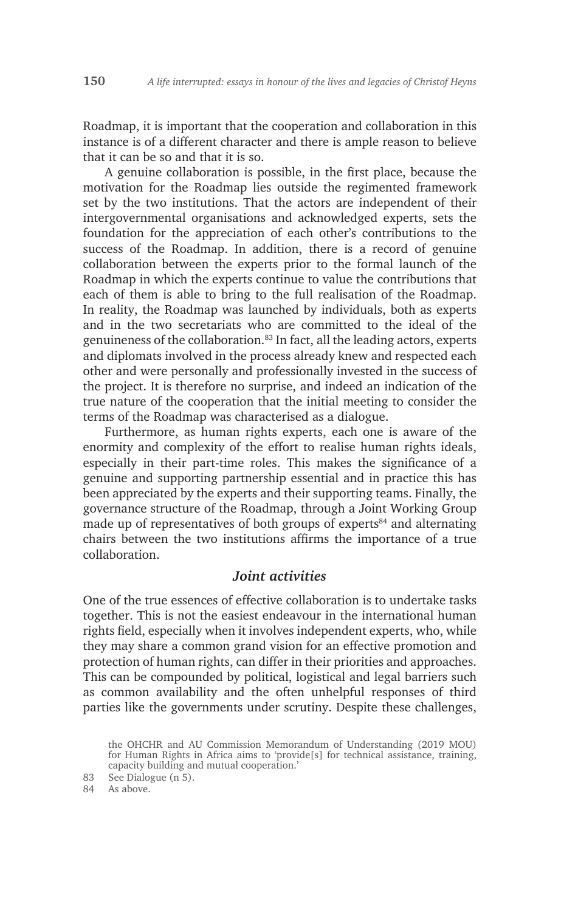Roadmap, it is important that the cooperation and collaboration in this instance is of a different character and there is ample reason to believe that it can be so and that it is so.

A genuine collaboration is possible, in the first place, because the motivation for the Roadmap lies outside the regimented framework set by the two institutions. That the actors are independent of their intergovernmental organisations and acknowledged experts, sets the foundation for the appreciation of each other's contributions to the success of the Roadmap. In addition, there is a record of genuine collaboration between the experts prior to the formal launch of the Roadmap in which the experts continue to value the contributions that each of them is able to bring to the full realisation of the Roadmap. In reality, the Roadmap was launched by individuals, both as experts and in the two secretariats who are committed to the ideal of the genuineness of the collaboration.<sup>83</sup> In fact, all the leading actors, experts and diplomats involved in the process already knew and respected each other and were personally and professionally invested in the success of the project. It is therefore no surprise, and indeed an indication of the true nature of the cooperation that the initial meeting to consider the terms of the Roadmap was characterised as a dialogue.

Furthermore, as human rights experts, each one is aware of the enormity and complexity of the effort to realise human rights ideals, especially in their part-time roles. This makes the significance of a genuine and supporting partnership essential and in practice this has been appreciated by the experts and their supporting teams. Finally, the governance structure of the Roadmap, through a Joint Working Group made up of representatives of both groups of experts<sup>84</sup> and alternating chairs between the two institutions affirms the importance of a true collaboration.

## *Joint activities*

One of the true essences of effective collaboration is to undertake tasks together. This is not the easiest endeavour in the international human rights field, especially when it involves independent experts, who, while they may share a common grand vision for an effective promotion and protection of human rights, can differ in their priorities and approaches. This can be compounded by political, logistical and legal barriers such as common availability and the often unhelpful responses of third parties like the governments under scrutiny. Despite these challenges,

84 As above.

the OHCHR and AU Commission Memorandum of Understanding (2019 MOU) for Human Rights in Africa aims to 'provide[s] for technical assistance, training, capacity building and mutual cooperation.'

<sup>83</sup> See Dialogue (n 5).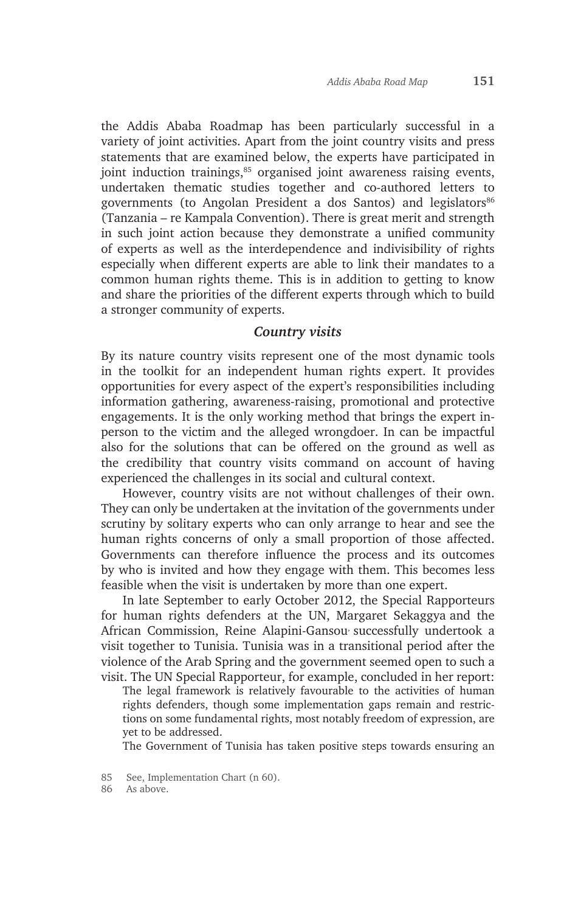the Addis Ababa Roadmap has been particularly successful in a variety of joint activities. Apart from the joint country visits and press statements that are examined below, the experts have participated in joint induction trainings,<sup>85</sup> organised joint awareness raising events, undertaken thematic studies together and co-authored letters to governments (to Angolan President a dos Santos) and legislators<sup>86</sup> (Tanzania – re Kampala Convention). There is great merit and strength in such joint action because they demonstrate a unified community of experts as well as the interdependence and indivisibility of rights especially when different experts are able to link their mandates to a common human rights theme. This is in addition to getting to know and share the priorities of the different experts through which to build a stronger community of experts.

#### *Country visits*

By its nature country visits represent one of the most dynamic tools in the toolkit for an independent human rights expert. It provides opportunities for every aspect of the expert's responsibilities including information gathering, awareness-raising, promotional and protective engagements. It is the only working method that brings the expert inperson to the victim and the alleged wrongdoer. In can be impactful also for the solutions that can be offered on the ground as well as the credibility that country visits command on account of having experienced the challenges in its social and cultural context.

However, country visits are not without challenges of their own. They can only be undertaken at the invitation of the governments under scrutiny by solitary experts who can only arrange to hear and see the human rights concerns of only a small proportion of those affected. Governments can therefore influence the process and its outcomes by who is invited and how they engage with them. This becomes less feasible when the visit is undertaken by more than one expert.

In late September to early October 2012, the Special Rapporteurs for human rights defenders at the UN, Margaret Sekaggya and the African Commission, Reine Alapini-Gansou, successfully undertook a visit together to Tunisia. Tunisia was in a transitional period after the violence of the Arab Spring and the government seemed open to such a visit. The UN Special Rapporteur, for example, concluded in her report:

The legal framework is relatively favourable to the activities of human rights defenders, though some implementation gaps remain and restrictions on some fundamental rights, most notably freedom of expression, are yet to be addressed.

The Government of Tunisia has taken positive steps towards ensuring an

<sup>85</sup> See, Implementation Chart (n 60).<br>86 As above.

As above.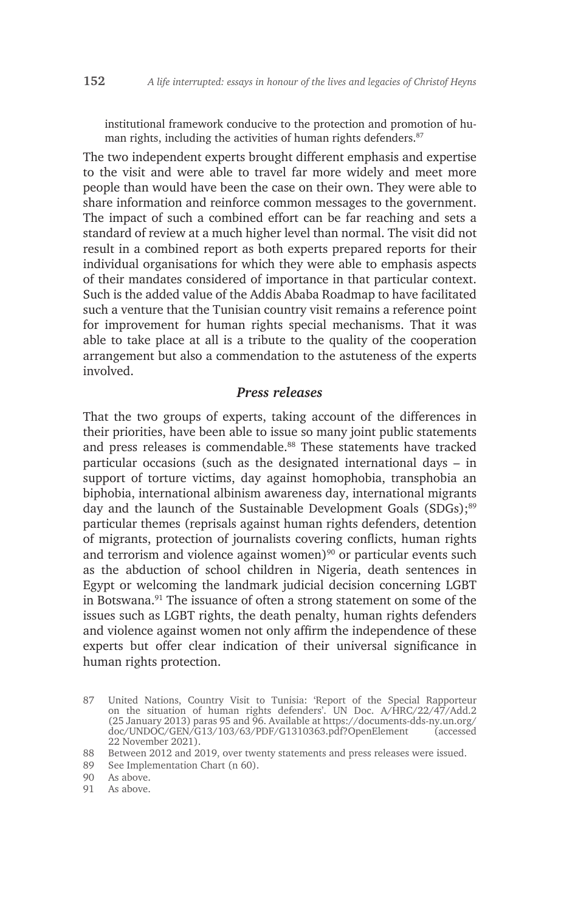institutional framework conducive to the protection and promotion of human rights, including the activities of human rights defenders.<sup>87</sup>

The two independent experts brought different emphasis and expertise to the visit and were able to travel far more widely and meet more people than would have been the case on their own. They were able to share information and reinforce common messages to the government. The impact of such a combined effort can be far reaching and sets a standard of review at a much higher level than normal. The visit did not result in a combined report as both experts prepared reports for their individual organisations for which they were able to emphasis aspects of their mandates considered of importance in that particular context. Such is the added value of the Addis Ababa Roadmap to have facilitated such a venture that the Tunisian country visit remains a reference point for improvement for human rights special mechanisms. That it was able to take place at all is a tribute to the quality of the cooperation arrangement but also a commendation to the astuteness of the experts involved.

#### *Press releases*

That the two groups of experts, taking account of the differences in their priorities, have been able to issue so many joint public statements and press releases is commendable.<sup>88</sup> These statements have tracked particular occasions (such as the designated international days – in support of torture victims, day against homophobia, transphobia an biphobia, international albinism awareness day, international migrants day and the launch of the Sustainable Development Goals (SDGs);<sup>89</sup> particular themes (reprisals against human rights defenders, detention of migrants, protection of journalists covering conflicts, human rights and terrorism and violence against women) $90$  or particular events such as the abduction of school children in Nigeria, death sentences in Egypt or welcoming the landmark judicial decision concerning LGBT in Botswana.<sup>91</sup> The issuance of often a strong statement on some of the issues such as LGBT rights, the death penalty, human rights defenders and violence against women not only affirm the independence of these experts but offer clear indication of their universal significance in human rights protection.

91 As above.

<sup>87</sup> United Nations, Country Visit to Tunisia: 'Report of the Special Rapporteur on the situation of human rights defenders'. UN Doc. A/HRC/22/47/Add.2 (25 January 2013) paras 95 and 96. Available at https://documents-dds-ny.un.org/ doc/UNDOC/GEN/G13/103/63/PDF/G1310363.pdf?OpenElement (accessed 22 November 2021).

<sup>88</sup> Between 2012 and 2019, over twenty statements and press releases were issued.

<sup>89</sup> See Implementation Chart (n 60).

<sup>90</sup> As above.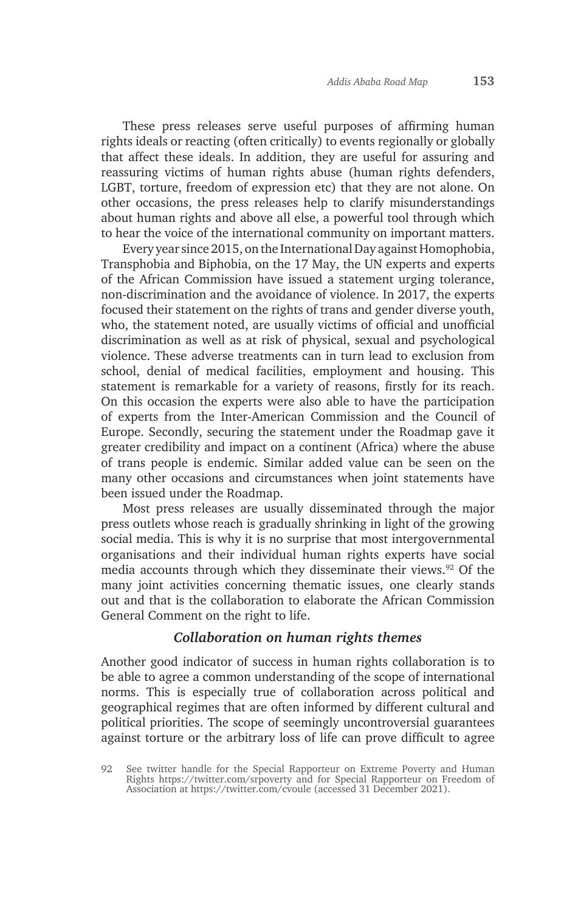These press releases serve useful purposes of affirming human rights ideals or reacting (often critically) to events regionally or globally that affect these ideals. In addition, they are useful for assuring and reassuring victims of human rights abuse (human rights defenders, LGBT, torture, freedom of expression etc) that they are not alone. On other occasions, the press releases help to clarify misunderstandings about human rights and above all else, a powerful tool through which to hear the voice of the international community on important matters.

Every year since 2015, on the International Day against Homophobia, Transphobia and Biphobia, on the 17 May, the UN experts and experts of the African Commission have issued a statement urging tolerance, non-discrimination and the avoidance of violence. In 2017, the experts focused their statement on the rights of trans and gender diverse youth, who, the statement noted, are usually victims of official and unofficial discrimination as well as at risk of physical, sexual and psychological violence. These adverse treatments can in turn lead to exclusion from school, denial of medical facilities, employment and housing. This statement is remarkable for a variety of reasons, firstly for its reach. On this occasion the experts were also able to have the participation of experts from the Inter-American Commission and the Council of Europe. Secondly, securing the statement under the Roadmap gave it greater credibility and impact on a continent (Africa) where the abuse of trans people is endemic. Similar added value can be seen on the many other occasions and circumstances when joint statements have been issued under the Roadmap.

Most press releases are usually disseminated through the major press outlets whose reach is gradually shrinking in light of the growing social media. This is why it is no surprise that most intergovernmental organisations and their individual human rights experts have social media accounts through which they disseminate their views.<sup>92</sup> Of the many joint activities concerning thematic issues, one clearly stands out and that is the collaboration to elaborate the African Commission General Comment on the right to life.

#### *Collaboration on human rights themes*

Another good indicator of success in human rights collaboration is to be able to agree a common understanding of the scope of international norms. This is especially true of collaboration across political and geographical regimes that are often informed by different cultural and political priorities. The scope of seemingly uncontroversial guarantees against torture or the arbitrary loss of life can prove difficult to agree

<sup>92</sup> See twitter handle for the Special Rapporteur on Extreme Poverty and Human Rights https://twitter.com/srpoverty and for Special Rapporteur on Freedom of Association at https://twitter.com/cvoule (accessed 31 December 2021).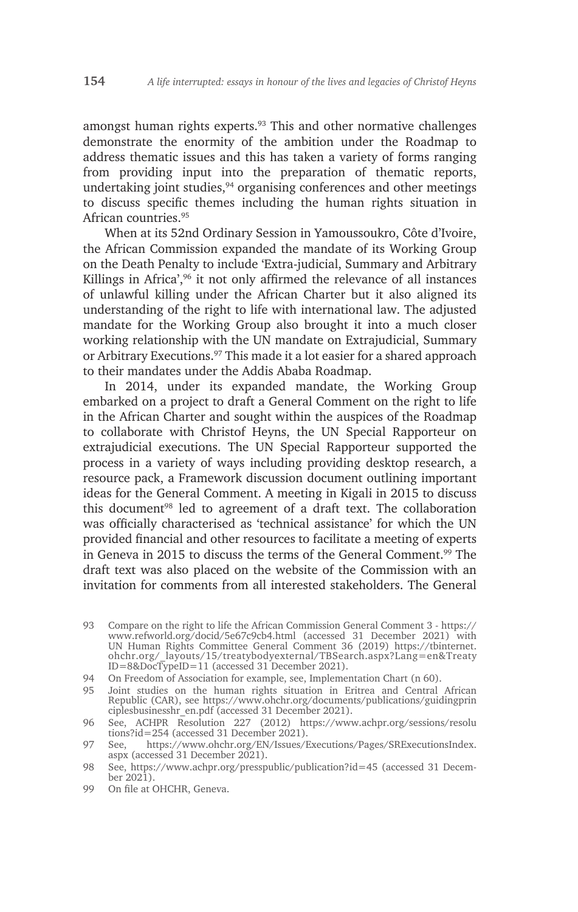amongst human rights experts.<sup>93</sup> This and other normative challenges demonstrate the enormity of the ambition under the Roadmap to address thematic issues and this has taken a variety of forms ranging from providing input into the preparation of thematic reports, undertaking joint studies,<sup>94</sup> organising conferences and other meetings to discuss specific themes including the human rights situation in African countries.95

When at its 52nd Ordinary Session in Yamoussoukro, Côte d'Ivoire, the African Commission expanded the mandate of its Working Group on the Death Penalty to include 'Extra-judicial, Summary and Arbitrary Killings in Africa',<sup>96</sup> it not only affirmed the relevance of all instances of unlawful killing under the African Charter but it also aligned its understanding of the right to life with international law. The adjusted mandate for the Working Group also brought it into a much closer working relationship with the UN mandate on Extrajudicial, Summary or Arbitrary Executions.<sup>97</sup> This made it a lot easier for a shared approach to their mandates under the Addis Ababa Roadmap.

In 2014, under its expanded mandate, the Working Group embarked on a project to draft a General Comment on the right to life in the African Charter and sought within the auspices of the Roadmap to collaborate with Christof Heyns, the UN Special Rapporteur on extrajudicial executions. The UN Special Rapporteur supported the process in a variety of ways including providing desktop research, a resource pack, a Framework discussion document outlining important ideas for the General Comment. A meeting in Kigali in 2015 to discuss this document<sup>98</sup> led to agreement of a draft text. The collaboration was officially characterised as 'technical assistance' for which the UN provided financial and other resources to facilitate a meeting of experts in Geneva in 2015 to discuss the terms of the General Comment.<sup>99</sup> The draft text was also placed on the website of the Commission with an invitation for comments from all interested stakeholders. The General

- 98 See, https://www.achpr.org/presspublic/publication?id=45 (accessed 31 December 2021).
- 99 On file at OHCHR, Geneva.

<sup>93</sup> Compare on the right to life the African Commission General Comment 3 - https:// www.refworld.org/docid/5e67c9cb4.html (accessed 31 December 2021) with UN Human Rights Committee General Comment 36 (2019) https://tbinternet. ohchr.org/\_layouts/15/treatybodyexternal/TBSearch.aspx?Lang=en&Treaty ID=8&DocTypeID=11 (accessed 31 December 2021).

<sup>94</sup> On Freedom of Association for example, see, Implementation Chart (n 60).

<sup>95</sup> Joint studies on the human rights situation in Eritrea and Central African Republic (CAR), see https://www.ohchr.org/documents/publications/guidingprin ciplesbusinesshr\_en.pdf (accessed 31 December 2021).

<sup>96</sup> See, ACHPR Resolution 227 (2012) https://www.achpr.org/sessions/resolu tions?id=254 (accessed 31 December 2021).

<sup>97</sup> See, https://www.ohchr.org/EN/Issues/Executions/Pages/SRExecutionsIndex. aspx (accessed 31 December 2021).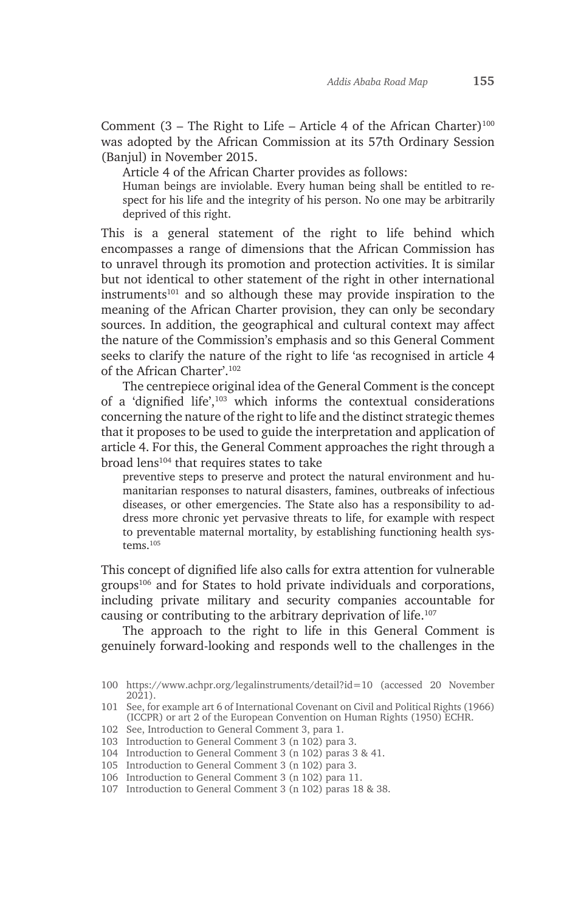Comment (3 – The Right to Life – Article 4 of the African Charter)<sup>100</sup> was adopted by the African Commission at its 57th Ordinary Session (Banjul) in November 2015.

Article 4 of the African Charter provides as follows:

Human beings are inviolable. Every human being shall be entitled to respect for his life and the integrity of his person. No one may be arbitrarily deprived of this right.

This is a general statement of the right to life behind which encompasses a range of dimensions that the African Commission has to unravel through its promotion and protection activities. It is similar but not identical to other statement of the right in other international instruments<sup>101</sup> and so although these may provide inspiration to the meaning of the African Charter provision, they can only be secondary sources. In addition, the geographical and cultural context may affect the nature of the Commission's emphasis and so this General Comment seeks to clarify the nature of the right to life 'as recognised in article 4 of the African Charter'.102

The centrepiece original idea of the General Comment is the concept of a 'dignified life',103 which informs the contextual considerations concerning the nature of the right to life and the distinct strategic themes that it proposes to be used to guide the interpretation and application of article 4. For this, the General Comment approaches the right through a broad lens<sup>104</sup> that requires states to take

preventive steps to preserve and protect the natural environment and humanitarian responses to natural disasters, famines, outbreaks of infectious diseases, or other emergencies. The State also has a responsibility to address more chronic yet pervasive threats to life, for example with respect to preventable maternal mortality, by establishing functioning health systems<sup>105</sup>

This concept of dignified life also calls for extra attention for vulnerable groups<sup>106</sup> and for States to hold private individuals and corporations, including private military and security companies accountable for causing or contributing to the arbitrary deprivation of life.107

The approach to the right to life in this General Comment is genuinely forward-looking and responds well to the challenges in the

<sup>100</sup> https://www.achpr.org/legalinstruments/detail?id=10 (accessed 20 November 2021).

<sup>101</sup> See, for example art 6 of International Covenant on Civil and Political Rights (1966) (ICCPR) or art 2 of the European Convention on Human Rights (1950) ECHR.

<sup>102</sup> See, Introduction to General Comment 3, para 1.

<sup>103</sup> Introduction to General Comment 3 (n 102) para 3.

<sup>104</sup> Introduction to General Comment 3 (n 102) paras 3 & 41.

<sup>105</sup> Introduction to General Comment 3 (n 102) para 3.

<sup>106</sup> Introduction to General Comment 3 (n 102) para 11.

<sup>107</sup> Introduction to General Comment 3 (n 102) paras 18 & 38.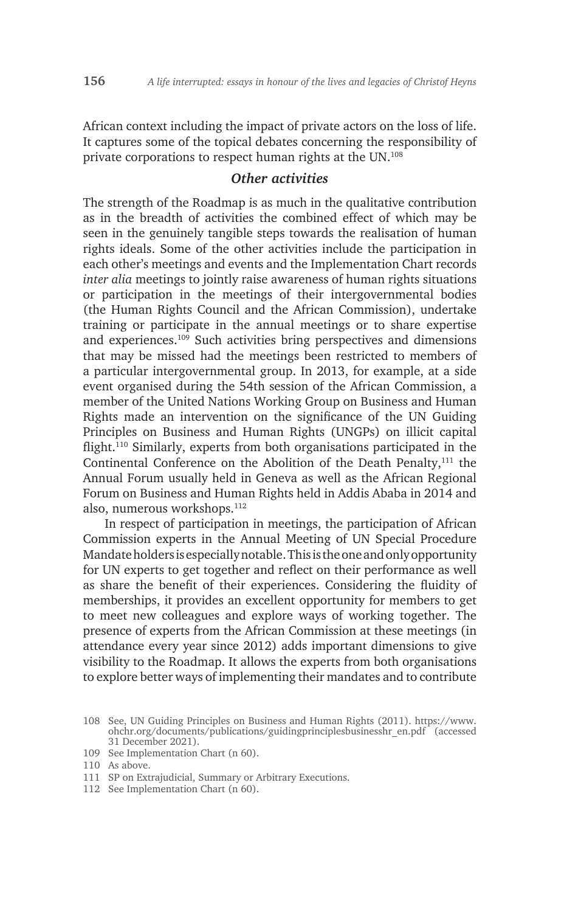African context including the impact of private actors on the loss of life. It captures some of the topical debates concerning the responsibility of private corporations to respect human rights at the UN.108

## *Other activities*

The strength of the Roadmap is as much in the qualitative contribution as in the breadth of activities the combined effect of which may be seen in the genuinely tangible steps towards the realisation of human rights ideals. Some of the other activities include the participation in each other's meetings and events and the Implementation Chart records *inter alia* meetings to jointly raise awareness of human rights situations or participation in the meetings of their intergovernmental bodies (the Human Rights Council and the African Commission), undertake training or participate in the annual meetings or to share expertise and experiences.109 Such activities bring perspectives and dimensions that may be missed had the meetings been restricted to members of a particular intergovernmental group. In 2013, for example, at a side event organised during the 54th session of the African Commission, a member of the United Nations Working Group on Business and Human Rights made an intervention on the significance of the UN Guiding Principles on Business and Human Rights (UNGPs) on illicit capital flight.110 Similarly, experts from both organisations participated in the Continental Conference on the Abolition of the Death Penalty,<sup>111</sup> the Annual Forum usually held in Geneva as well as the African Regional Forum on Business and Human Rights held in Addis Ababa in 2014 and also, numerous workshops.112

In respect of participation in meetings, the participation of African Commission experts in the Annual Meeting of UN Special Procedure Mandate holders is especially notable. This is the one and only opportunity for UN experts to get together and reflect on their performance as well as share the benefit of their experiences. Considering the fluidity of memberships, it provides an excellent opportunity for members to get to meet new colleagues and explore ways of working together. The presence of experts from the African Commission at these meetings (in attendance every year since 2012) adds important dimensions to give visibility to the Roadmap. It allows the experts from both organisations to explore better ways of implementing their mandates and to contribute

- 111 SP on Extrajudicial, Summary or Arbitrary Executions.
- 112 See Implementation Chart (n 60).

<sup>108</sup> See, UN Guiding Principles on Business and Human Rights (2011). https://www. ohchr.org/documents/publications/guidingprinciplesbusinesshr\_en.pdf (accessed 31 December 2021).

<sup>109</sup> See Implementation Chart (n 60).

<sup>110</sup> As above.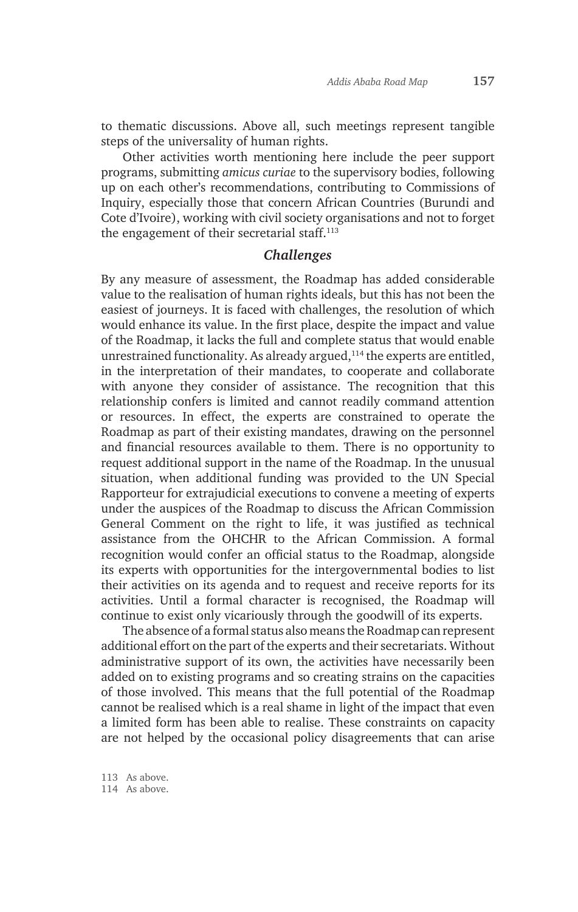to thematic discussions. Above all, such meetings represent tangible steps of the universality of human rights.

Other activities worth mentioning here include the peer support programs, submitting *amicus curiae* to the supervisory bodies, following up on each other's recommendations, contributing to Commissions of Inquiry, especially those that concern African Countries (Burundi and Cote d'Ivoire), working with civil society organisations and not to forget the engagement of their secretarial staff.113

#### *Challenges*

By any measure of assessment, the Roadmap has added considerable value to the realisation of human rights ideals, but this has not been the easiest of journeys. It is faced with challenges, the resolution of which would enhance its value. In the first place, despite the impact and value of the Roadmap, it lacks the full and complete status that would enable unrestrained functionality. As already argued, $114$  the experts are entitled, in the interpretation of their mandates, to cooperate and collaborate with anyone they consider of assistance. The recognition that this relationship confers is limited and cannot readily command attention or resources. In effect, the experts are constrained to operate the Roadmap as part of their existing mandates, drawing on the personnel and financial resources available to them. There is no opportunity to request additional support in the name of the Roadmap. In the unusual situation, when additional funding was provided to the UN Special Rapporteur for extrajudicial executions to convene a meeting of experts under the auspices of the Roadmap to discuss the African Commission General Comment on the right to life, it was justified as technical assistance from the OHCHR to the African Commission. A formal recognition would confer an official status to the Roadmap, alongside its experts with opportunities for the intergovernmental bodies to list their activities on its agenda and to request and receive reports for its activities. Until a formal character is recognised, the Roadmap will continue to exist only vicariously through the goodwill of its experts.

The absence of a formal status also means the Roadmap can represent additional effort on the part of the experts and their secretariats. Without administrative support of its own, the activities have necessarily been added on to existing programs and so creating strains on the capacities of those involved. This means that the full potential of the Roadmap cannot be realised which is a real shame in light of the impact that even a limited form has been able to realise. These constraints on capacity are not helped by the occasional policy disagreements that can arise

113 As above. 114 As above.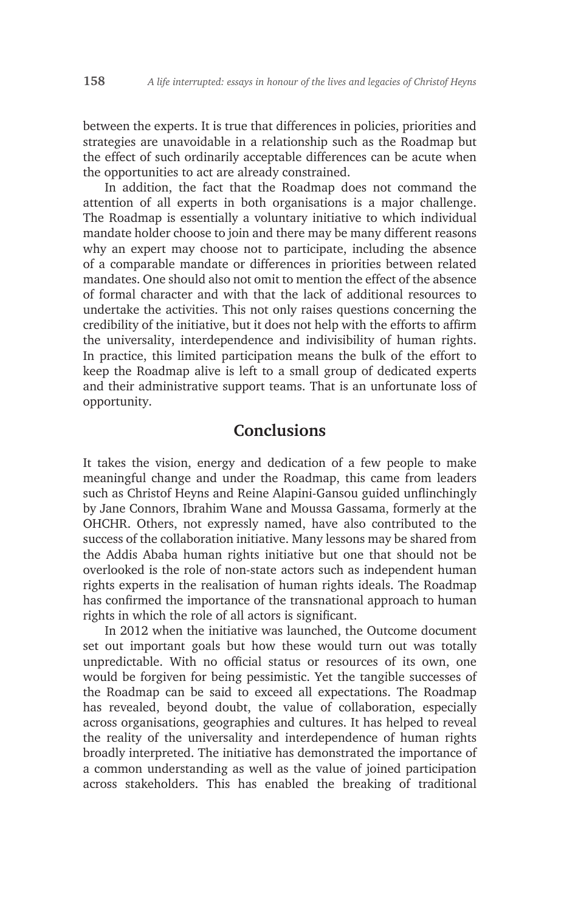between the experts. It is true that differences in policies, priorities and strategies are unavoidable in a relationship such as the Roadmap but the effect of such ordinarily acceptable differences can be acute when the opportunities to act are already constrained.

In addition, the fact that the Roadmap does not command the attention of all experts in both organisations is a major challenge. The Roadmap is essentially a voluntary initiative to which individual mandate holder choose to join and there may be many different reasons why an expert may choose not to participate, including the absence of a comparable mandate or differences in priorities between related mandates. One should also not omit to mention the effect of the absence of formal character and with that the lack of additional resources to undertake the activities. This not only raises questions concerning the credibility of the initiative, but it does not help with the efforts to affirm the universality, interdependence and indivisibility of human rights. In practice, this limited participation means the bulk of the effort to keep the Roadmap alive is left to a small group of dedicated experts and their administrative support teams. That is an unfortunate loss of opportunity.

# **Conclusions**

It takes the vision, energy and dedication of a few people to make meaningful change and under the Roadmap, this came from leaders such as Christof Heyns and Reine Alapini-Gansou guided unflinchingly by Jane Connors, Ibrahim Wane and Moussa Gassama, formerly at the OHCHR. Others, not expressly named, have also contributed to the success of the collaboration initiative. Many lessons may be shared from the Addis Ababa human rights initiative but one that should not be overlooked is the role of non-state actors such as independent human rights experts in the realisation of human rights ideals. The Roadmap has confirmed the importance of the transnational approach to human rights in which the role of all actors is significant.

In 2012 when the initiative was launched, the Outcome document set out important goals but how these would turn out was totally unpredictable. With no official status or resources of its own, one would be forgiven for being pessimistic. Yet the tangible successes of the Roadmap can be said to exceed all expectations. The Roadmap has revealed, beyond doubt, the value of collaboration, especially across organisations, geographies and cultures. It has helped to reveal the reality of the universality and interdependence of human rights broadly interpreted. The initiative has demonstrated the importance of a common understanding as well as the value of joined participation across stakeholders. This has enabled the breaking of traditional